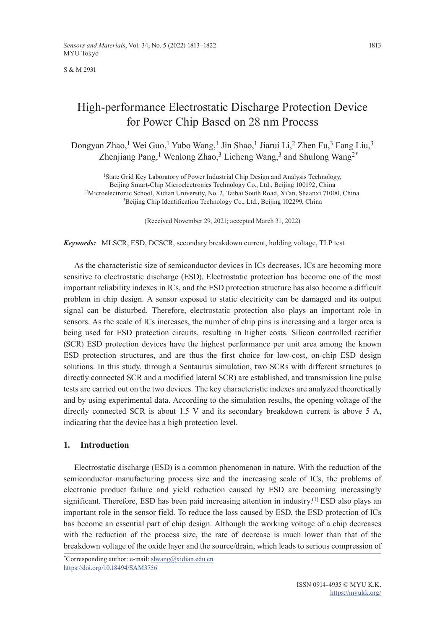S & M 2931

# High-performance Electrostatic Discharge Protection Device for Power Chip Based on 28 nm Process

Dongyan Zhao,<sup>1</sup> Wei Guo,<sup>1</sup> Yubo Wang,<sup>1</sup> Jin Shao,<sup>1</sup> Jiarui Li,<sup>2</sup> Zhen Fu,<sup>3</sup> Fang Liu,<sup>3</sup> Zhenjiang Pang,<sup>1</sup> Wenlong Zhao,<sup>3</sup> Licheng Wang,<sup>3</sup> and Shulong Wang<sup>2\*</sup>

1State Grid Key Laboratory of Power Industrial Chip Design and Analysis Technology, Beijing Smart-Chip Microelectronics Technology Co., Ltd., Beijing 100192, China 2Microelectronic School, Xidian University, No. 2, Taibai South Road, Xi'an, Shaanxi 71000, China <sup>3</sup>Beijing Chip Identification Technology Co., Ltd., Beijing 102299, China

(Received November 29, 2021; accepted March 31, 2022)

*Keywords:* MLSCR, ESD, DCSCR, secondary breakdown current, holding voltage, TLP test

As the characteristic size of semiconductor devices in ICs decreases, ICs are becoming more sensitive to electrostatic discharge (ESD). Electrostatic protection has become one of the most important reliability indexes in ICs, and the ESD protection structure has also become a difficult problem in chip design. A sensor exposed to static electricity can be damaged and its output signal can be disturbed. Therefore, electrostatic protection also plays an important role in sensors. As the scale of ICs increases, the number of chip pins is increasing and a larger area is being used for ESD protection circuits, resulting in higher costs. Silicon controlled rectifier (SCR) ESD protection devices have the highest performance per unit area among the known ESD protection structures, and are thus the first choice for low-cost, on-chip ESD design solutions. In this study, through a Sentaurus simulation, two SCRs with different structures (a directly connected SCR and a modified lateral SCR) are established, and transmission line pulse tests are carried out on the two devices. The key characteristic indexes are analyzed theoretically and by using experimental data. According to the simulation results, the opening voltage of the directly connected SCR is about 1.5 V and its secondary breakdown current is above 5 A, indicating that the device has a high protection level.

## **1. Introduction**

Electrostatic discharge (ESD) is a common phenomenon in nature. With the reduction of the semiconductor manufacturing process size and the increasing scale of ICs, the problems of electronic product failure and yield reduction caused by ESD are becoming increasingly significant. Therefore, ESD has been paid increasing attention in industry.<sup>(1)</sup> ESD also plays an important role in the sensor field. To reduce the loss caused by ESD, the ESD protection of ICs has become an essential part of chip design. Although the working voltage of a chip decreases with the reduction of the process size, the rate of decrease is much lower than that of the breakdown voltage of the oxide layer and the source/drain, which leads to serious compression of

\*Corresponding author: e-mail: [slwang@xidian.edu.cn](mailto:slwang@xidian.edu.cn) <https://doi.org/10.18494/SAM3756>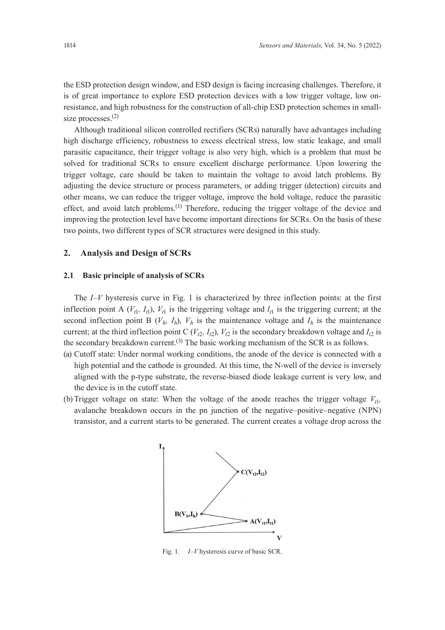the ESD protection design window, and ESD design is facing increasing challenges. Therefore, it is of great importance to explore ESD protection devices with a low trigger voltage, low onresistance, and high robustness for the construction of all-chip ESD protection schemes in smallsize processes.<sup>(2)</sup>

Although traditional silicon controlled rectifiers (SCRs) naturally have advantages including high discharge efficiency, robustness to excess electrical stress, low static leakage, and small parasitic capacitance, their trigger voltage is also very high, which is a problem that must be solved for traditional SCRs to ensure excellent discharge performance. Upon lowering the trigger voltage, care should be taken to maintain the voltage to avoid latch problems. By adjusting the device structure or process parameters, or adding trigger (detection) circuits and other means, we can reduce the trigger voltage, improve the hold voltage, reduce the parasitic effect, and avoid latch problems.<sup>(1)</sup> Therefore, reducing the trigger voltage of the device and improving the protection level have become important directions for SCRs. On the basis of these two points, two different types of SCR structures were designed in this study.

## **2. Analysis and Design of SCRs**

### **2.1 Basic principle of analysis of SCRs**

The *I–V* hysteresis curve in Fig. 1 is characterized by three inflection points: at the first inflection point A  $(V<sub>1</sub>, I<sub>1</sub>)$ ,  $V<sub>1</sub>$  is the triggering voltage and  $I<sub>1</sub>$  is the triggering current; at the second inflection point B  $(V_h, I_h)$ ,  $V_h$  is the maintenance voltage and  $I_h$  is the maintenance current; at the third inflection point C  $(V_{t2}, I_{t2})$ ,  $V_{t2}$  is the secondary breakdown voltage and  $I_{t2}$  is the secondary breakdown current.<sup>(3)</sup> The basic working mechanism of the SCR is as follows.

- (a) Cutoff state: Under normal working conditions, the anode of the device is connected with a high potential and the cathode is grounded. At this time, the N-well of the device is inversely aligned with the р-type substrate, the reverse-biased diode leakage current is very low, and the device is in the cutoff state.
- (b) Trigger voltage on state: When the voltage of the anode reaches the trigger voltage  $V_{1}$ , avalanche breakdown occurs in the pn junction of the negative–positive–negative (NPN) transistor, and a current starts to be generated. The current creates a voltage drop across the



Fig. 1. *I*–*V* hysteresis curve of basic SCR.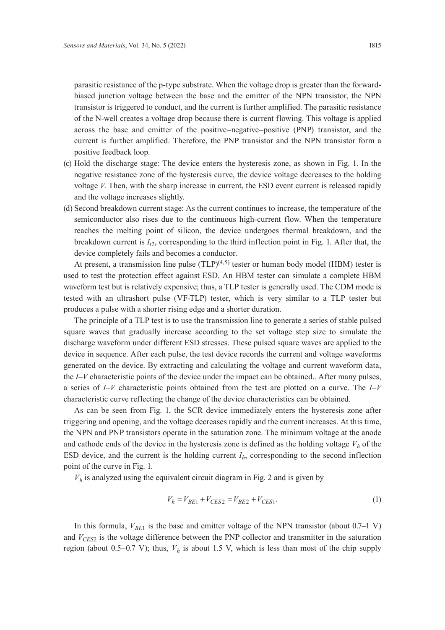parasitic resistance of the p-type substrate. When the voltage drop is greater than the forwardbiased junction voltage between the base and the emitter of the NPN transistor, the NPN transistor is triggered to conduct, and the current is further amplified. The parasitic resistance of the N-well creates a voltage drop because there is current flowing. This voltage is applied across the base and emitter of the positive–negative–positive (PNP) transistor, and the current is further amplified. Therefore, the PNP transistor and the NPN transistor form a positive feedback loop.

- (c) Hold the discharge stage: The device enters the hysteresis zone, as shown in Fig. 1. In the negative resistance zone of the hysteresis curve, the device voltage decreases to the holding voltage *V*. Then, with the sharp increase in current, the ESD event current is released rapidly and the voltage increases slightly.
- (d) Second breakdown current stage: As the current continues to increase, the temperature of the semiconductor also rises due to the continuous high-current flow. When the temperature reaches the melting point of silicon, the device undergoes thermal breakdown, and the breakdown current is  $I_1$ , corresponding to the third inflection point in Fig. 1. After that, the device completely fails and becomes a conductor.

At present, a transmission line pulse  $(TLP)^{(4,5)}$  tester or human body model (HBM) tester is used to test the protection effect against ESD. An HBM tester can simulate a complete HBM waveform test but is relatively expensive; thus, a TLP tester is generally used. The CDM mode is tested with an ultrashort pulse (VF-TLP) tester, which is very similar to a TLP tester but produces a pulse with a shorter rising edge and a shorter duration.

The principle of a TLP test is to use the transmission line to generate a series of stable pulsed square waves that gradually increase according to the set voltage step size to simulate the discharge waveform under different ESD stresses. These pulsed square waves are applied to the device in sequence. After each pulse, the test device records the current and voltage waveforms generated on the device. By extracting and calculating the voltage and current waveform data, the *I–V* characteristic points of the device under the impact can be obtained.. After many pulses, a series of *I–V* characteristic points obtained from the test are plotted on a curve. The *I–V* characteristic curve reflecting the change of the device characteristics can be obtained.

As can be seen from Fig. 1, the SCR device immediately enters the hysteresis zone after triggering and opening, and the voltage decreases rapidly and the current increases. At this time, the NPN and PNP transistors operate in the saturation zone. The minimum voltage at the anode and cathode ends of the device in the hysteresis zone is defined as the holding voltage  $V<sub>h</sub>$  of the ESD device, and the current is the holding current  $I<sub>h</sub>$ , corresponding to the second inflection point of the curve in Fig. 1.

 $V<sub>h</sub>$  is analyzed using the equivalent circuit diagram in Fig. 2 and is given by

$$
V_h = V_{BE1} + V_{CES2} = V_{BE2} + V_{CES1}.
$$
\n(1)

In this formula,  $V_{BE1}$  is the base and emitter voltage of the NPN transistor (about 0.7–1 V) and *V<sub>CES2</sub>* is the voltage difference between the PNP collector and transmitter in the saturation region (about 0.5–0.7 V); thus,  $V<sub>h</sub>$  is about 1.5 V, which is less than most of the chip supply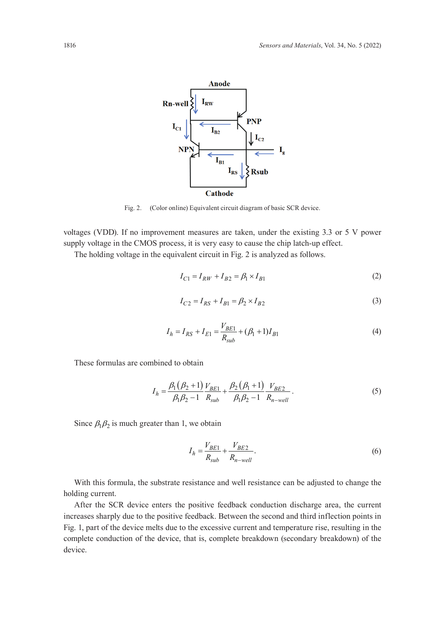

Fig. 2. (Color online) Equivalent circuit diagram of basic SCR device.

voltages (VDD). If no improvement measures are taken, under the existing 3.3 or 5 V power supply voltage in the CMOS process, it is very easy to cause the chip latch-up effect.

The holding voltage in the equivalent circuit in Fig. 2 is analyzed as follows.

$$
I_{C1} = I_{RW} + I_{B2} = \beta_1 \times I_{B1}
$$
 (2)

$$
I_{C2} = I_{RS} + I_{B1} = \beta_2 \times I_{B2}
$$
 (3)

$$
I_h = I_{RS} + I_{E1} = \frac{V_{BE1}}{R_{sub}} + (\beta_1 + 1)I_{B1}
$$
\n(4)

These formulas are combined to obtain

$$
I_h = \frac{\beta_1 (\beta_2 + 1)}{\beta_1 \beta_2 - 1} \frac{V_{BE1}}{R_{sub}} + \frac{\beta_2 (\beta_1 + 1)}{\beta_1 \beta_2 - 1} \frac{V_{BE2}}{R_{n-well}}.
$$
(5)

Since  $\beta_1 \beta_2$  is much greater than 1, we obtain

$$
I_h = \frac{V_{BE1}}{R_{sub}} + \frac{V_{BE2}}{R_{n-well}}.\tag{6}
$$

With this formula, the substrate resistance and well resistance can be adjusted to change the holding current.

After the SCR device enters the positive feedback conduction discharge area, the current increases sharply due to the positive feedback. Between the second and third inflection points in Fig. 1, part of the device melts due to the excessive current and temperature rise, resulting in the complete conduction of the device, that is, complete breakdown (secondary breakdown) of the device.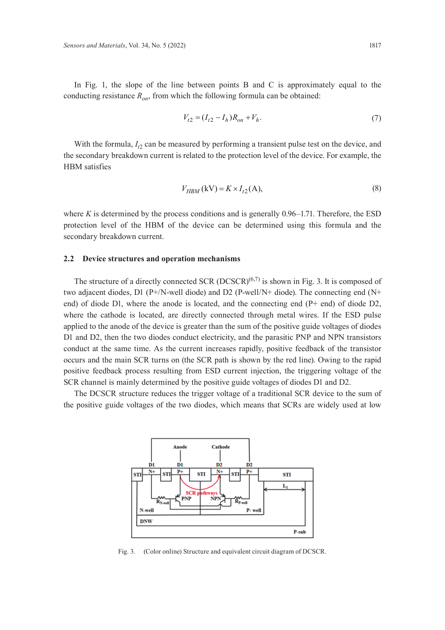In Fig. 1, the slope of the line between points B and C is approximately equal to the conducting resistance  $R_{on}$ , from which the following formula can be obtained:

$$
V_{t2} = (I_{t2} - I_h)R_{on} + V_h.
$$
\n(7)

With the formula,  $I_{t2}$  can be measured by performing a transient pulse test on the device, and the secondary breakdown current is related to the protection level of the device. For example, the HBM satisfies

$$
V_{HBM}(\text{kV}) = K \times I_{t2}(\text{A}),\tag{8}
$$

where *K* is determined by the process conditions and is generally 0.96–1.71. Therefore, the ESD protection level of the HBM of the device can be determined using this formula and the secondary breakdown current.

## **2.2 Device structures and operation mechanisms**

The structure of a directly connected SCR (DCSCR) $(6,7)$  is shown in Fig. 3. It is composed of two adjacent diodes, D1 (P+/N-well diode) and D2 (P-well/N+ diode). The connecting end (N+ end) of diode D1, where the anode is located, and the connecting end (P+ end) of diode D2, where the cathode is located, are directly connected through metal wires. If the ESD pulse applied to the anode of the device is greater than the sum of the positive guide voltages of diodes D1 and D2, then the two diodes conduct electricity, and the parasitic PNP and NPN transistors conduct at the same time. As the current increases rapidly, positive feedback of the transistor occurs and the main SCR turns on (the SCR path is shown by the red line). Owing to the rapid positive feedback process resulting from ESD current injection, the triggering voltage of the SCR channel is mainly determined by the positive guide voltages of diodes D1 and D2.

The DCSCR structure reduces the trigger voltage of a traditional SCR device to the sum of the positive guide voltages of the two diodes, which means that SCRs are widely used at low



Fig. 3. (Color online) Structure and equivalent circuit diagram of DCSCR.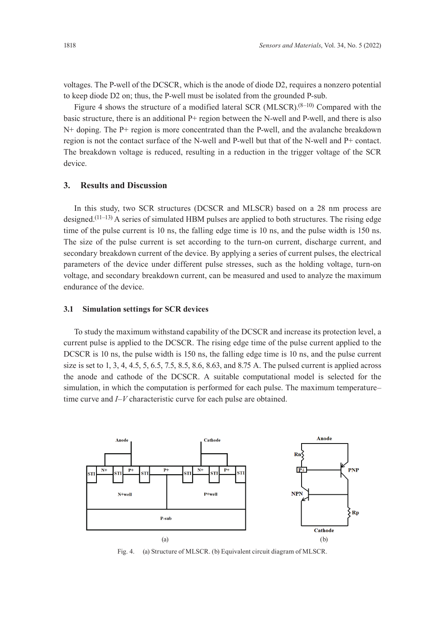voltages. The P-well of the DCSCR, which is the anode of diode D2, requires a nonzero potential to keep diode D2 on; thus, the P-well must be isolated from the grounded P-sub.

Figure 4 shows the structure of a modified lateral SCR (MLSCR).<sup>(8-10)</sup> Compared with the basic structure, there is an additional P+ region between the N-well and P-well, and there is also N+ doping. The P+ region is more concentrated than the P-well, and the avalanche breakdown region is not the contact surface of the N-well and P-well but that of the N-well and P+ contact. The breakdown voltage is reduced, resulting in a reduction in the trigger voltage of the SCR device.

# **3. Results and Discussion**

In this study, two SCR structures (DCSCR and MLSCR) based on a 28 nm process are designed. $(11-13)$  A series of simulated HBM pulses are applied to both structures. The rising edge time of the pulse current is 10 ns, the falling edge time is 10 ns, and the pulse width is 150 ns. The size of the pulse current is set according to the turn-on current, discharge current, and secondary breakdown current of the device. By applying a series of current pulses, the electrical parameters of the device under different pulse stresses, such as the holding voltage, turn-on voltage, and secondary breakdown current, can be measured and used to analyze the maximum endurance of the device.

### **3.1 Simulation settings for SCR devices**

To study the maximum withstand capability of the DCSCR and increase its protection level, a current pulse is applied to the DCSCR. The rising edge time of the pulse current applied to the DCSCR is 10 ns, the pulse width is 150 ns, the falling edge time is 10 ns, and the pulse current size is set to 1, 3, 4, 4.5, 5, 6.5, 7.5, 8.5, 8.6, 8.63, and 8.75 A. The pulsed current is applied across the anode and cathode of the DCSCR. A suitable computational model is selected for the simulation, in which the computation is performed for each pulse. The maximum temperature– time curve and *I–V* characteristic curve for each pulse are obtained.



Fig. 4. (a) Structure of MLSCR. (b) Equivalent circuit diagram of MLSCR.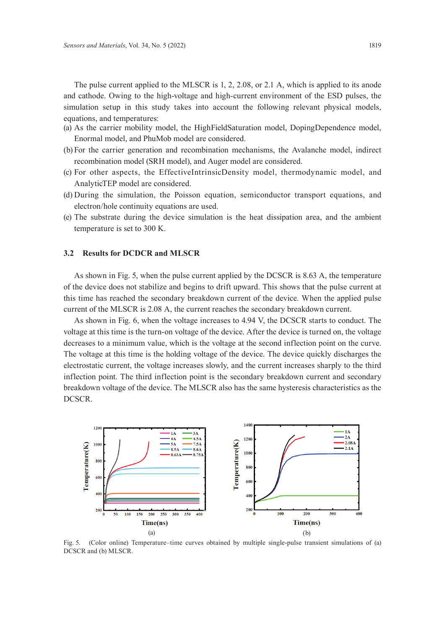The pulse current applied to the MLSCR is 1, 2, 2.08, or 2.1 A, which is applied to its anode and cathode. Owing to the high-voltage and high-current environment of the ESD pulses, the simulation setup in this study takes into account the following relevant physical models, equations, and temperatures:

- (a) As the carrier mobility model, the HighFieldSaturation model, DopingDependence model, Enormal model, and PhuMob model are considered.
- (b) For the carrier generation and recombination mechanisms, the Avalanche model, indirect recombination model (SRH model), and Auger model are considered.
- (c) For other aspects, the EffectiveIntrinsicDensity model, thermodynamic model, and AnalyticTEP model are considered.
- (d) During the simulation, the Poisson equation, semiconductor transport equations, and electron/hole continuity equations are used.
- (e) The substrate during the device simulation is the heat dissipation area, and the ambient temperature is set to 300 K.

#### **3.2 Results for DCDCR and MLSCR**

As shown in Fig. 5, when the pulse current applied by the DCSCR is 8.63 A, the temperature of the device does not stabilize and begins to drift upward. This shows that the pulse current at this time has reached the secondary breakdown current of the device. When the applied pulse current of the MLSCR is 2.08 A, the current reaches the secondary breakdown current.

As shown in Fig. 6, when the voltage increases to 4.94 V, the DCSCR starts to conduct. The voltage at this time is the turn-on voltage of the device. After the device is turned on, the voltage decreases to a minimum value, which is the voltage at the second inflection point on the curve. The voltage at this time is the holding voltage of the device. The device quickly discharges the electrostatic current, the voltage increases slowly, and the current increases sharply to the third inflection point. The third inflection point is the secondary breakdown current and secondary breakdown voltage of the device. The MLSCR also has the same hysteresis characteristics as the DCSCR.



Fig. 5. (Color online) Temperature–time curves obtained by multiple single-pulse transient simulations of (a) DCSCR and (b) MLSCR.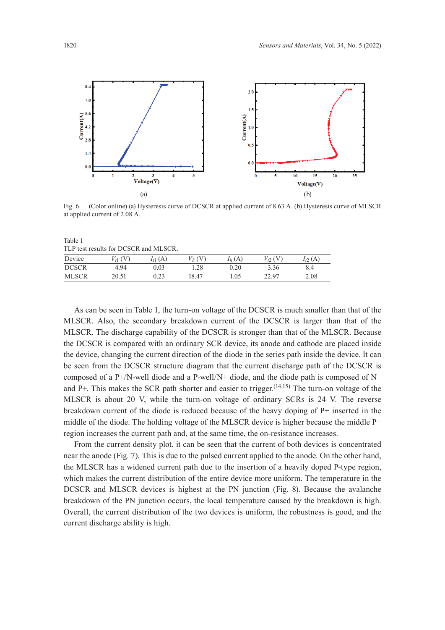

Fig. 6. (Color online) (a) Hysteresis curve of DCSCR at applied current of 8.63 A. (b) Hysteresis curve of MLSCR at applied current of 2.08 A.

| Table 1                               |
|---------------------------------------|
| TLP test results for DCSCR and MLSCR. |

| $1.11$ were regarded to be every and neglective |       |              |       |          |          |      |  |
|-------------------------------------------------|-------|--------------|-------|----------|----------|------|--|
| Device                                          | 'V    | $I_{t1}$ (A) | V h ( | $I_h(A)$ | $\tau$ ( | (A   |  |
| <b>DCSCR</b>                                    | 4.94  | 0.03         | 28    | 0.20     | 3.36     | 8.4  |  |
| <b>MLSCR</b>                                    | 20.51 | 0.23         | 18.47 | 1.05     | 22.97    | 2.08 |  |

As can be seen in Table 1, the turn-on voltage of the DCSCR is much smaller than that of the MLSCR. Also, the secondary breakdown current of the DCSCR is larger than that of the MLSCR. The discharge capability of the DCSCR is stronger than that of the MLSCR. Because the DCSCR is compared with an ordinary SCR device, its anode and cathode are placed inside the device, changing the current direction of the diode in the series path inside the device. It can be seen from the DCSCR structure diagram that the current discharge path of the DCSCR is composed of a P+/N-well diode and a P-well/N+ diode, and the diode path is composed of N+ and P+. This makes the SCR path shorter and easier to trigger.<sup>(14,15)</sup> The turn-on voltage of the MLSCR is about 20 V, while the turn-on voltage of ordinary SCRs is 24 V. The reverse breakdown current of the diode is reduced because of the heavy doping of P+ inserted in the middle of the diode. The holding voltage of the MLSCR device is higher because the middle P+ region increases the current path and, at the same time, the on-resistance increases.

From the current density plot, it can be seen that the current of both devices is concentrated near the anode (Fig. 7). This is due to the pulsed current applied to the anode. On the other hand, the MLSCR has a widened current path due to the insertion of a heavily doped P-type region, which makes the current distribution of the entire device more uniform. The temperature in the DCSCR and MLSCR devices is highest at the PN junction (Fig. 8). Because the avalanche breakdown of the PN junction occurs, the local temperature caused by the breakdown is high. Overall, the current distribution of the two devices is uniform, the robustness is good, and the current discharge ability is high.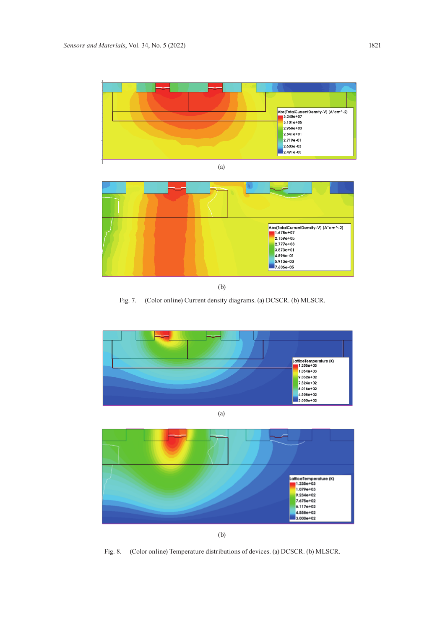

(b)

Fig. 7. (Color online) Current density diagrams. (a) DCSCR. (b) MLSCR.







(b)

Fig. 8. (Color online) Temperature distributions of devices. (a) DCSCR. (b) MLSCR.